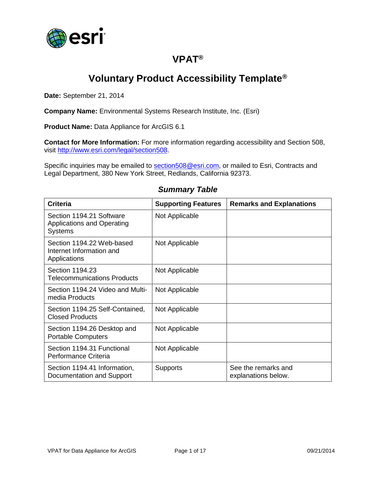

## **VPAT®**

## **Voluntary Product Accessibility Template®**

**Date:** September 21, 2014

**Company Name:** Environmental Systems Research Institute, Inc. (Esri)

**Product Name:** Data Appliance for ArcGIS 6.1

**Contact for More Information:** For more information regarding accessibility and Section 508, visit [http://www.esri.com/legal/section508.](http://www.esri.com/legal/section508)

Specific inquiries may be emailed to [section508@esri.com,](mailto:section508@esri.com) or mailed to Esri, Contracts and Legal Department, 380 New York Street, Redlands, California 92373.

| <b>Criteria</b>                                                                 | <b>Supporting Features</b> | <b>Remarks and Explanations</b>            |
|---------------------------------------------------------------------------------|----------------------------|--------------------------------------------|
| Section 1194.21 Software<br><b>Applications and Operating</b><br><b>Systems</b> | Not Applicable             |                                            |
| Section 1194.22 Web-based<br>Internet Information and<br>Applications           | Not Applicable             |                                            |
| Section 1194.23<br>Telecommunications Products                                  | Not Applicable             |                                            |
| Section 1194.24 Video and Multi-<br>media Products                              | Not Applicable             |                                            |
| Section 1194.25 Self-Contained,<br><b>Closed Products</b>                       | Not Applicable             |                                            |
| Section 1194.26 Desktop and<br><b>Portable Computers</b>                        | Not Applicable             |                                            |
| Section 1194.31 Functional<br>Performance Criteria                              | Not Applicable             |                                            |
| Section 1194.41 Information,<br>Documentation and Support                       | <b>Supports</b>            | See the remarks and<br>explanations below. |

#### *Summary Table*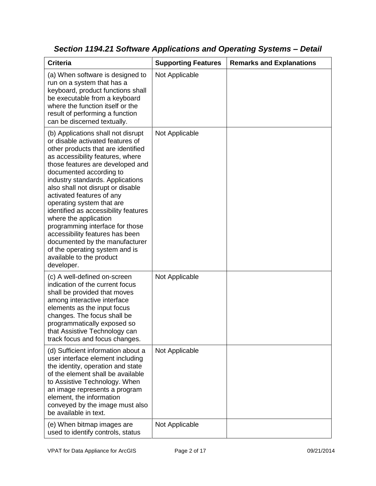| <b>Criteria</b>                                                                                                                                                                                                                                                                                                                                                                                                                                                                                                                                                                                         | <b>Supporting Features</b> | <b>Remarks and Explanations</b> |
|---------------------------------------------------------------------------------------------------------------------------------------------------------------------------------------------------------------------------------------------------------------------------------------------------------------------------------------------------------------------------------------------------------------------------------------------------------------------------------------------------------------------------------------------------------------------------------------------------------|----------------------------|---------------------------------|
| (a) When software is designed to<br>run on a system that has a<br>keyboard, product functions shall<br>be executable from a keyboard<br>where the function itself or the<br>result of performing a function<br>can be discerned textually.                                                                                                                                                                                                                                                                                                                                                              | Not Applicable             |                                 |
| (b) Applications shall not disrupt<br>or disable activated features of<br>other products that are identified<br>as accessibility features, where<br>those features are developed and<br>documented according to<br>industry standards. Applications<br>also shall not disrupt or disable<br>activated features of any<br>operating system that are<br>identified as accessibility features<br>where the application<br>programming interface for those<br>accessibility features has been<br>documented by the manufacturer<br>of the operating system and is<br>available to the product<br>developer. | Not Applicable             |                                 |
| (c) A well-defined on-screen<br>indication of the current focus<br>shall be provided that moves<br>among interactive interface<br>elements as the input focus<br>changes. The focus shall be<br>programmatically exposed so<br>that Assistive Technology can<br>track focus and focus changes.                                                                                                                                                                                                                                                                                                          | Not Applicable             |                                 |
| (d) Sufficient information about a<br>user interface element including<br>the identity, operation and state<br>of the element shall be available<br>to Assistive Technology. When<br>an image represents a program<br>element, the information<br>conveyed by the image must also<br>be available in text.                                                                                                                                                                                                                                                                                              | Not Applicable             |                                 |
| (e) When bitmap images are<br>used to identify controls, status                                                                                                                                                                                                                                                                                                                                                                                                                                                                                                                                         | Not Applicable             |                                 |

*Section 1194.21 Software Applications and Operating Systems – Detail*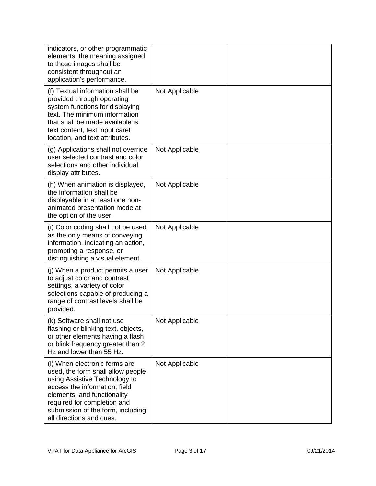| indicators, or other programmatic<br>elements, the meaning assigned<br>to those images shall be<br>consistent throughout an<br>application's performance.                                                                                                           |                |  |
|---------------------------------------------------------------------------------------------------------------------------------------------------------------------------------------------------------------------------------------------------------------------|----------------|--|
| (f) Textual information shall be<br>provided through operating<br>system functions for displaying<br>text. The minimum information<br>that shall be made available is<br>text content, text input caret<br>location, and text attributes.                           | Not Applicable |  |
| (g) Applications shall not override<br>user selected contrast and color<br>selections and other individual<br>display attributes.                                                                                                                                   | Not Applicable |  |
| (h) When animation is displayed,<br>the information shall be<br>displayable in at least one non-<br>animated presentation mode at<br>the option of the user.                                                                                                        | Not Applicable |  |
| (i) Color coding shall not be used<br>as the only means of conveying<br>information, indicating an action,<br>prompting a response, or<br>distinguishing a visual element.                                                                                          | Not Applicable |  |
| (j) When a product permits a user<br>to adjust color and contrast<br>settings, a variety of color<br>selections capable of producing a<br>range of contrast levels shall be<br>provided.                                                                            | Not Applicable |  |
| (k) Software shall not use<br>flashing or blinking text, objects,<br>or other elements having a flash<br>or blink frequency greater than 2<br>Hz and lower than 55 Hz.                                                                                              | Not Applicable |  |
| (I) When electronic forms are<br>used, the form shall allow people<br>using Assistive Technology to<br>access the information, field<br>elements, and functionality<br>required for completion and<br>submission of the form, including<br>all directions and cues. | Not Applicable |  |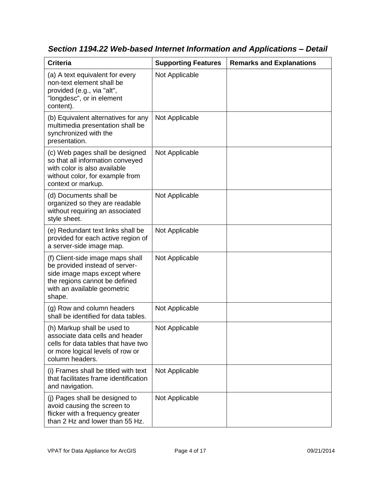| <b>Criteria</b>                                                                                                                                                              | <b>Supporting Features</b> | <b>Remarks and Explanations</b> |
|------------------------------------------------------------------------------------------------------------------------------------------------------------------------------|----------------------------|---------------------------------|
| (a) A text equivalent for every<br>non-text element shall be<br>provided (e.g., via "alt",<br>"longdesc", or in element<br>content).                                         | Not Applicable             |                                 |
| (b) Equivalent alternatives for any<br>multimedia presentation shall be<br>synchronized with the<br>presentation.                                                            | Not Applicable             |                                 |
| (c) Web pages shall be designed<br>so that all information conveyed<br>with color is also available<br>without color, for example from<br>context or markup.                 | Not Applicable             |                                 |
| (d) Documents shall be<br>organized so they are readable<br>without requiring an associated<br>style sheet.                                                                  | Not Applicable             |                                 |
| (e) Redundant text links shall be<br>provided for each active region of<br>a server-side image map.                                                                          | Not Applicable             |                                 |
| (f) Client-side image maps shall<br>be provided instead of server-<br>side image maps except where<br>the regions cannot be defined<br>with an available geometric<br>shape. | Not Applicable             |                                 |
| (g) Row and column headers<br>shall be identified for data tables.                                                                                                           | Not Applicable             |                                 |
| (h) Markup shall be used to<br>associate data cells and header<br>cells for data tables that have two<br>or more logical levels of row or<br>column headers.                 | Not Applicable             |                                 |
| (i) Frames shall be titled with text<br>that facilitates frame identification<br>and navigation.                                                                             | Not Applicable             |                                 |
| (j) Pages shall be designed to<br>avoid causing the screen to<br>flicker with a frequency greater<br>than 2 Hz and lower than 55 Hz.                                         | Not Applicable             |                                 |

*Section 1194.22 Web-based Internet Information and Applications – Detail*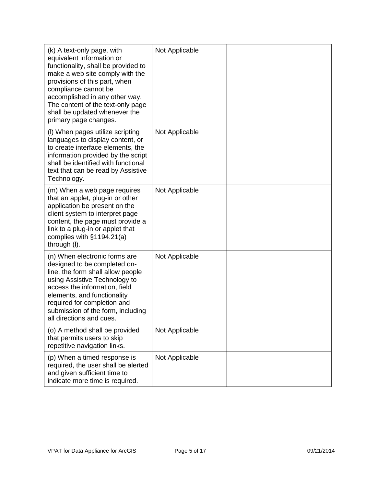| (k) A text-only page, with<br>equivalent information or<br>functionality, shall be provided to<br>make a web site comply with the<br>provisions of this part, when<br>compliance cannot be<br>accomplished in any other way.<br>The content of the text-only page<br>shall be updated whenever the<br>primary page changes. | Not Applicable |  |
|-----------------------------------------------------------------------------------------------------------------------------------------------------------------------------------------------------------------------------------------------------------------------------------------------------------------------------|----------------|--|
| (I) When pages utilize scripting<br>languages to display content, or<br>to create interface elements, the<br>information provided by the script<br>shall be identified with functional<br>text that can be read by Assistive<br>Technology.                                                                                 | Not Applicable |  |
| (m) When a web page requires<br>that an applet, plug-in or other<br>application be present on the<br>client system to interpret page<br>content, the page must provide a<br>link to a plug-in or applet that<br>complies with $§1194.21(a)$<br>through (I).                                                                 | Not Applicable |  |
| (n) When electronic forms are<br>designed to be completed on-<br>line, the form shall allow people<br>using Assistive Technology to<br>access the information, field<br>elements, and functionality<br>required for completion and<br>submission of the form, including<br>all directions and cues.                         | Not Applicable |  |
| (o) A method shall be provided<br>that permits users to skip<br>repetitive navigation links.                                                                                                                                                                                                                                | Not Applicable |  |
| (p) When a timed response is<br>required, the user shall be alerted<br>and given sufficient time to<br>indicate more time is required.                                                                                                                                                                                      | Not Applicable |  |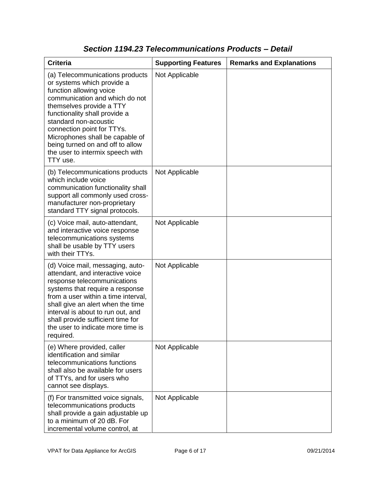| <b>Criteria</b>                                                                                                                                                                                                                                                                                                                                                       | <b>Supporting Features</b> | <b>Remarks and Explanations</b> |
|-----------------------------------------------------------------------------------------------------------------------------------------------------------------------------------------------------------------------------------------------------------------------------------------------------------------------------------------------------------------------|----------------------------|---------------------------------|
| (a) Telecommunications products<br>or systems which provide a<br>function allowing voice<br>communication and which do not<br>themselves provide a TTY<br>functionality shall provide a<br>standard non-acoustic<br>connection point for TTYs.<br>Microphones shall be capable of<br>being turned on and off to allow<br>the user to intermix speech with<br>TTY use. | Not Applicable             |                                 |
| (b) Telecommunications products<br>which include voice<br>communication functionality shall<br>support all commonly used cross-<br>manufacturer non-proprietary<br>standard TTY signal protocols.                                                                                                                                                                     | Not Applicable             |                                 |
| (c) Voice mail, auto-attendant,<br>and interactive voice response<br>telecommunications systems<br>shall be usable by TTY users<br>with their TTYs.                                                                                                                                                                                                                   | Not Applicable             |                                 |
| (d) Voice mail, messaging, auto-<br>attendant, and interactive voice<br>response telecommunications<br>systems that require a response<br>from a user within a time interval,<br>shall give an alert when the time<br>interval is about to run out, and<br>shall provide sufficient time for<br>the user to indicate more time is<br>required.                        | Not Applicable             |                                 |
| (e) Where provided, caller<br>identification and similar<br>telecommunications functions<br>shall also be available for users<br>of TTYs, and for users who<br>cannot see displays.                                                                                                                                                                                   | Not Applicable             |                                 |
| (f) For transmitted voice signals,<br>telecommunications products<br>shall provide a gain adjustable up<br>to a minimum of 20 dB. For<br>incremental volume control, at                                                                                                                                                                                               | Not Applicable             |                                 |

### *Section 1194.23 Telecommunications Products – Detail*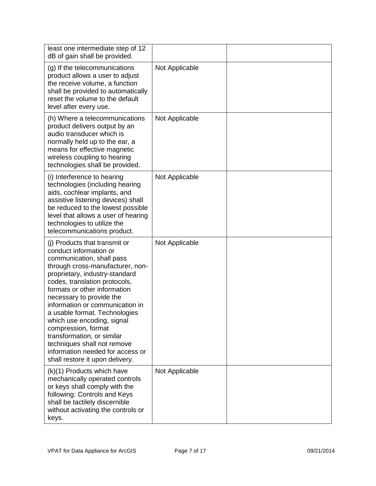| least one intermediate step of 12<br>dB of gain shall be provided.                                                                                                                                                                                                                                                                                                                                                                                                                                                   |                |  |
|----------------------------------------------------------------------------------------------------------------------------------------------------------------------------------------------------------------------------------------------------------------------------------------------------------------------------------------------------------------------------------------------------------------------------------------------------------------------------------------------------------------------|----------------|--|
| (g) If the telecommunications<br>product allows a user to adjust<br>the receive volume, a function<br>shall be provided to automatically<br>reset the volume to the default<br>level after every use.                                                                                                                                                                                                                                                                                                                | Not Applicable |  |
| (h) Where a telecommunications<br>product delivers output by an<br>audio transducer which is<br>normally held up to the ear, a<br>means for effective magnetic<br>wireless coupling to hearing<br>technologies shall be provided.                                                                                                                                                                                                                                                                                    | Not Applicable |  |
| (i) Interference to hearing<br>technologies (including hearing<br>aids, cochlear implants, and<br>assistive listening devices) shall<br>be reduced to the lowest possible<br>level that allows a user of hearing<br>technologies to utilize the<br>telecommunications product.                                                                                                                                                                                                                                       | Not Applicable |  |
| (i) Products that transmit or<br>conduct information or<br>communication, shall pass<br>through cross-manufacturer, non-<br>proprietary, industry-standard<br>codes, translation protocols,<br>formats or other information<br>necessary to provide the<br>information or communication in<br>a usable format. Technologies<br>which use encoding, signal<br>compression, format<br>transformation, or similar<br>techniques shall not remove<br>information needed for access or<br>shall restore it upon delivery. | Not Applicable |  |
| (k)(1) Products which have<br>mechanically operated controls<br>or keys shall comply with the<br>following: Controls and Keys<br>shall be tactilely discernible<br>without activating the controls or<br>keys.                                                                                                                                                                                                                                                                                                       | Not Applicable |  |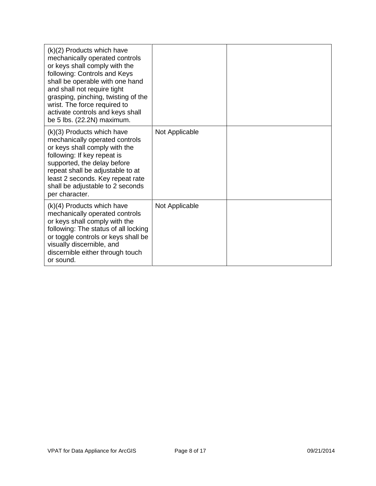| $(k)(2)$ Products which have<br>mechanically operated controls<br>or keys shall comply with the<br>following: Controls and Keys<br>shall be operable with one hand<br>and shall not require tight<br>grasping, pinching, twisting of the<br>wrist. The force required to<br>activate controls and keys shall<br>be 5 lbs. (22.2N) maximum. |                |  |
|--------------------------------------------------------------------------------------------------------------------------------------------------------------------------------------------------------------------------------------------------------------------------------------------------------------------------------------------|----------------|--|
| (k)(3) Products which have<br>mechanically operated controls<br>or keys shall comply with the<br>following: If key repeat is<br>supported, the delay before<br>repeat shall be adjustable to at<br>least 2 seconds. Key repeat rate<br>shall be adjustable to 2 seconds<br>per character.                                                  | Not Applicable |  |
| $(k)(4)$ Products which have<br>mechanically operated controls<br>or keys shall comply with the<br>following: The status of all locking<br>or toggle controls or keys shall be<br>visually discernible, and<br>discernible either through touch<br>or sound.                                                                               | Not Applicable |  |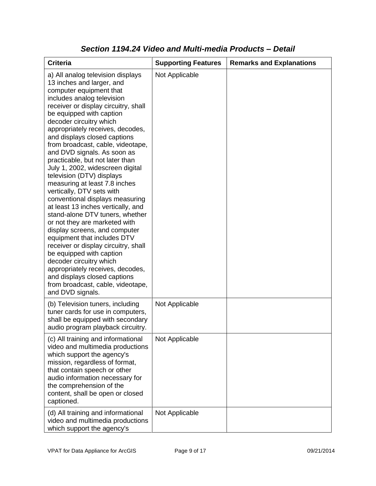| <b>Criteria</b>                                                                                                                                                                                                                                                                                                                                                                                                                                                                                                                                                                                                                                                                                                                                                                                                                                                                                                                                                           | <b>Supporting Features</b> | <b>Remarks and Explanations</b> |
|---------------------------------------------------------------------------------------------------------------------------------------------------------------------------------------------------------------------------------------------------------------------------------------------------------------------------------------------------------------------------------------------------------------------------------------------------------------------------------------------------------------------------------------------------------------------------------------------------------------------------------------------------------------------------------------------------------------------------------------------------------------------------------------------------------------------------------------------------------------------------------------------------------------------------------------------------------------------------|----------------------------|---------------------------------|
| a) All analog television displays<br>13 inches and larger, and<br>computer equipment that<br>includes analog television<br>receiver or display circuitry, shall<br>be equipped with caption<br>decoder circuitry which<br>appropriately receives, decodes,<br>and displays closed captions<br>from broadcast, cable, videotape,<br>and DVD signals. As soon as<br>practicable, but not later than<br>July 1, 2002, widescreen digital<br>television (DTV) displays<br>measuring at least 7.8 inches<br>vertically, DTV sets with<br>conventional displays measuring<br>at least 13 inches vertically, and<br>stand-alone DTV tuners, whether<br>or not they are marketed with<br>display screens, and computer<br>equipment that includes DTV<br>receiver or display circuitry, shall<br>be equipped with caption<br>decoder circuitry which<br>appropriately receives, decodes,<br>and displays closed captions<br>from broadcast, cable, videotape,<br>and DVD signals. | Not Applicable             |                                 |
| (b) Television tuners, including<br>tuner cards for use in computers,<br>shall be equipped with secondary<br>audio program playback circuitry.                                                                                                                                                                                                                                                                                                                                                                                                                                                                                                                                                                                                                                                                                                                                                                                                                            | Not Applicable             |                                 |
| (c) All training and informational<br>video and multimedia productions<br>which support the agency's<br>mission, regardless of format,<br>that contain speech or other<br>audio information necessary for<br>the comprehension of the<br>content, shall be open or closed<br>captioned.                                                                                                                                                                                                                                                                                                                                                                                                                                                                                                                                                                                                                                                                                   | Not Applicable             |                                 |
| (d) All training and informational<br>video and multimedia productions<br>which support the agency's                                                                                                                                                                                                                                                                                                                                                                                                                                                                                                                                                                                                                                                                                                                                                                                                                                                                      | Not Applicable             |                                 |

### *Section 1194.24 Video and Multi-media Products – Detail*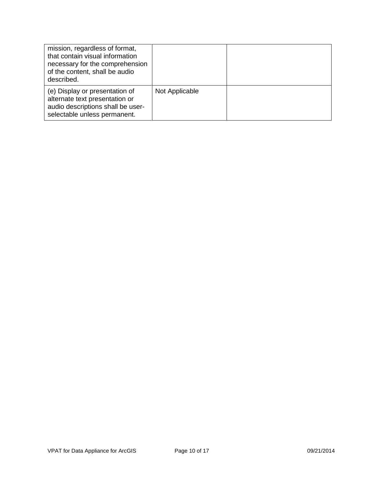| mission, regardless of format,<br>that contain visual information<br>necessary for the comprehension<br>of the content, shall be audio<br>described. |                |  |
|------------------------------------------------------------------------------------------------------------------------------------------------------|----------------|--|
| (e) Display or presentation of<br>alternate text presentation or<br>audio descriptions shall be user-<br>selectable unless permanent.                | Not Applicable |  |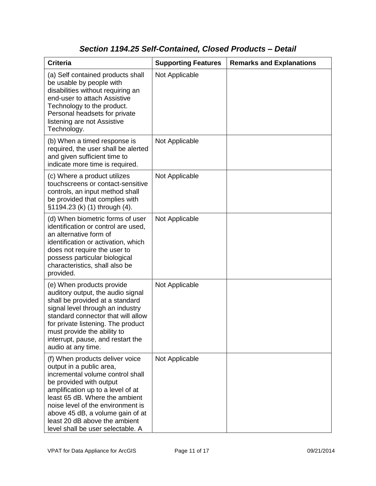### *Section 1194.25 Self-Contained, Closed Products – Detail*

| <b>Criteria</b>                                                                                                                                                                                                                                                                                                                                  | <b>Supporting Features</b> | <b>Remarks and Explanations</b> |
|--------------------------------------------------------------------------------------------------------------------------------------------------------------------------------------------------------------------------------------------------------------------------------------------------------------------------------------------------|----------------------------|---------------------------------|
| (a) Self contained products shall<br>be usable by people with<br>disabilities without requiring an<br>end-user to attach Assistive<br>Technology to the product.<br>Personal headsets for private<br>listening are not Assistive<br>Technology.                                                                                                  | Not Applicable             |                                 |
| (b) When a timed response is<br>required, the user shall be alerted<br>and given sufficient time to<br>indicate more time is required.                                                                                                                                                                                                           | Not Applicable             |                                 |
| (c) Where a product utilizes<br>touchscreens or contact-sensitive<br>controls, an input method shall<br>be provided that complies with<br>§1194.23 (k) (1) through (4).                                                                                                                                                                          | Not Applicable             |                                 |
| (d) When biometric forms of user<br>identification or control are used,<br>an alternative form of<br>identification or activation, which<br>does not require the user to<br>possess particular biological<br>characteristics, shall also be<br>provided.                                                                                         | Not Applicable             |                                 |
| (e) When products provide<br>auditory output, the audio signal<br>shall be provided at a standard<br>signal level through an industry<br>standard connector that will allow<br>for private listening. The product<br>must provide the ability to<br>interrupt, pause, and restart the<br>audio at any time.                                      | Not Applicable             |                                 |
| (f) When products deliver voice<br>output in a public area,<br>incremental volume control shall<br>be provided with output<br>amplification up to a level of at<br>least 65 dB. Where the ambient<br>noise level of the environment is<br>above 45 dB, a volume gain of at<br>least 20 dB above the ambient<br>level shall be user selectable. A | Not Applicable             |                                 |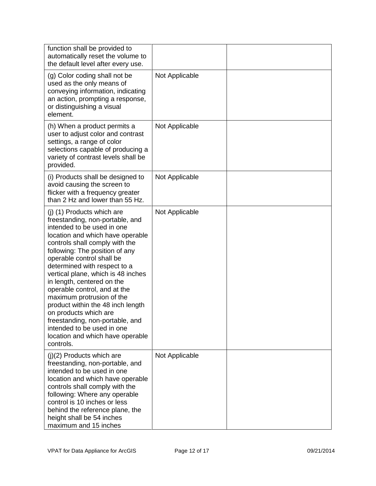| function shall be provided to<br>automatically reset the volume to<br>the default level after every use.                                                                                                                                                                                                                                                                                                                                                                                                                                                                          |                |  |
|-----------------------------------------------------------------------------------------------------------------------------------------------------------------------------------------------------------------------------------------------------------------------------------------------------------------------------------------------------------------------------------------------------------------------------------------------------------------------------------------------------------------------------------------------------------------------------------|----------------|--|
| (g) Color coding shall not be<br>used as the only means of<br>conveying information, indicating<br>an action, prompting a response,<br>or distinguishing a visual<br>element.                                                                                                                                                                                                                                                                                                                                                                                                     | Not Applicable |  |
| (h) When a product permits a<br>user to adjust color and contrast<br>settings, a range of color<br>selections capable of producing a<br>variety of contrast levels shall be<br>provided.                                                                                                                                                                                                                                                                                                                                                                                          | Not Applicable |  |
| (i) Products shall be designed to<br>avoid causing the screen to<br>flicker with a frequency greater<br>than 2 Hz and lower than 55 Hz.                                                                                                                                                                                                                                                                                                                                                                                                                                           | Not Applicable |  |
| (j) (1) Products which are<br>freestanding, non-portable, and<br>intended to be used in one<br>location and which have operable<br>controls shall comply with the<br>following: The position of any<br>operable control shall be<br>determined with respect to a<br>vertical plane, which is 48 inches<br>in length, centered on the<br>operable control, and at the<br>maximum protrusion of the<br>product within the 48 inch length<br>on products which are<br>freestanding, non-portable, and<br>intended to be used in one<br>location and which have operable<br>controls. | Not Applicable |  |
| $(j)(2)$ Products which are<br>freestanding, non-portable, and<br>intended to be used in one<br>location and which have operable<br>controls shall comply with the<br>following: Where any operable<br>control is 10 inches or less<br>behind the reference plane, the<br>height shall be 54 inches<br>maximum and 15 inches                                                                                                                                                                                                                                                      | Not Applicable |  |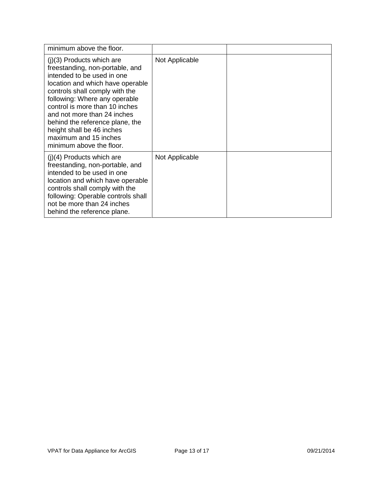| minimum above the floor.                                                                                                                                                                                                                                                                                                                                                                  |                |  |
|-------------------------------------------------------------------------------------------------------------------------------------------------------------------------------------------------------------------------------------------------------------------------------------------------------------------------------------------------------------------------------------------|----------------|--|
| $(j)(3)$ Products which are<br>freestanding, non-portable, and<br>intended to be used in one<br>location and which have operable<br>controls shall comply with the<br>following: Where any operable<br>control is more than 10 inches<br>and not more than 24 inches<br>behind the reference plane, the<br>height shall be 46 inches<br>maximum and 15 inches<br>minimum above the floor. | Not Applicable |  |
| $(i)(4)$ Products which are<br>freestanding, non-portable, and<br>intended to be used in one<br>location and which have operable<br>controls shall comply with the<br>following: Operable controls shall<br>not be more than 24 inches<br>behind the reference plane.                                                                                                                     | Not Applicable |  |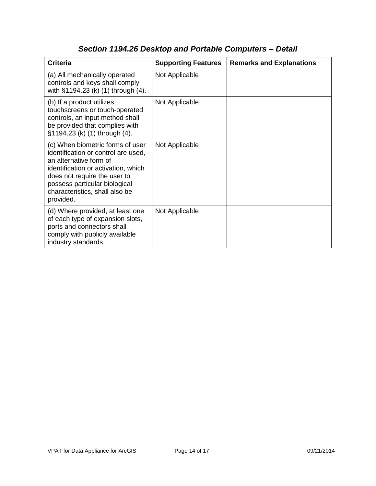| <b>Criteria</b>                                                                                                                                                                                                                                          | <b>Supporting Features</b> | <b>Remarks and Explanations</b> |
|----------------------------------------------------------------------------------------------------------------------------------------------------------------------------------------------------------------------------------------------------------|----------------------------|---------------------------------|
| (a) All mechanically operated<br>controls and keys shall comply<br>with §1194.23 (k) (1) through (4).                                                                                                                                                    | Not Applicable             |                                 |
| (b) If a product utilizes<br>touchscreens or touch-operated<br>controls, an input method shall<br>be provided that complies with<br>§1194.23 (k) (1) through (4).                                                                                        | Not Applicable             |                                 |
| (c) When biometric forms of user<br>identification or control are used,<br>an alternative form of<br>identification or activation, which<br>does not require the user to<br>possess particular biological<br>characteristics, shall also be<br>provided. | Not Applicable             |                                 |
| (d) Where provided, at least one<br>of each type of expansion slots,<br>ports and connectors shall<br>comply with publicly available<br>industry standards.                                                                                              | Not Applicable             |                                 |

# *Section 1194.26 Desktop and Portable Computers – Detail*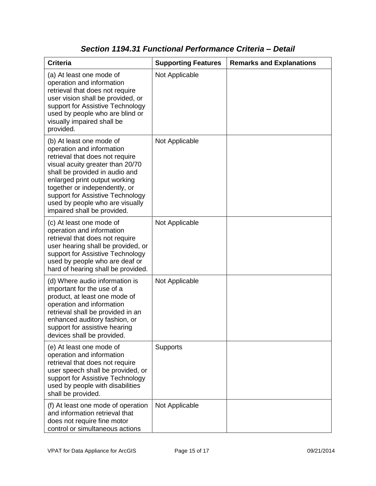| <b>Criteria</b>                                                                                                                                                                                                                                                                                                                        | <b>Supporting Features</b> | <b>Remarks and Explanations</b> |
|----------------------------------------------------------------------------------------------------------------------------------------------------------------------------------------------------------------------------------------------------------------------------------------------------------------------------------------|----------------------------|---------------------------------|
| (a) At least one mode of<br>operation and information<br>retrieval that does not require<br>user vision shall be provided, or<br>support for Assistive Technology<br>used by people who are blind or<br>visually impaired shall be<br>provided.                                                                                        | Not Applicable             |                                 |
| (b) At least one mode of<br>operation and information<br>retrieval that does not require<br>visual acuity greater than 20/70<br>shall be provided in audio and<br>enlarged print output working<br>together or independently, or<br>support for Assistive Technology<br>used by people who are visually<br>impaired shall be provided. | Not Applicable             |                                 |
| (c) At least one mode of<br>operation and information<br>retrieval that does not require<br>user hearing shall be provided, or<br>support for Assistive Technology<br>used by people who are deaf or<br>hard of hearing shall be provided.                                                                                             | Not Applicable             |                                 |
| (d) Where audio information is<br>important for the use of a<br>product, at least one mode of<br>operation and information<br>retrieval shall be provided in an<br>enhanced auditory fashion, or<br>support for assistive hearing<br>devices shall be provided.                                                                        | Not Applicable             |                                 |
| (e) At least one mode of<br>operation and information<br>retrieval that does not require<br>user speech shall be provided, or<br>support for Assistive Technology<br>used by people with disabilities<br>shall be provided.                                                                                                            | <b>Supports</b>            |                                 |
| (f) At least one mode of operation<br>and information retrieval that<br>does not require fine motor<br>control or simultaneous actions                                                                                                                                                                                                 | Not Applicable             |                                 |

#### *Section 1194.31 Functional Performance Criteria – Detail*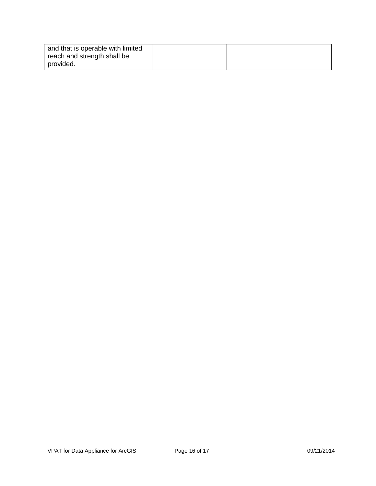| and that is operable with limited |  |
|-----------------------------------|--|
| reach and strength shall be       |  |
| provided.                         |  |